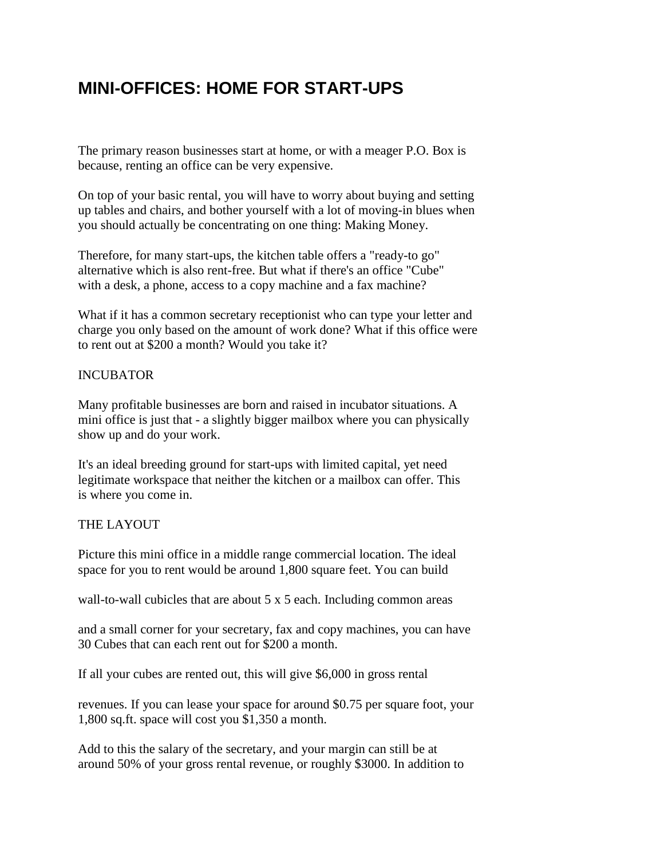## **MINI-OFFICES: HOME FOR START-UPS**

The primary reason businesses start at home, or with a meager P.O. Box is because, renting an office can be very expensive.

On top of your basic rental, you will have to worry about buying and setting up tables and chairs, and bother yourself with a lot of moving-in blues when you should actually be concentrating on one thing: Making Money.

Therefore, for many start-ups, the kitchen table offers a "ready-to go" alternative which is also rent-free. But what if there's an office "Cube" with a desk, a phone, access to a copy machine and a fax machine?

What if it has a common secretary receptionist who can type your letter and charge you only based on the amount of work done? What if this office were to rent out at \$200 a month? Would you take it?

## INCUBATOR

Many profitable businesses are born and raised in incubator situations. A mini office is just that - a slightly bigger mailbox where you can physically show up and do your work.

It's an ideal breeding ground for start-ups with limited capital, yet need legitimate workspace that neither the kitchen or a mailbox can offer. This is where you come in.

## THE LAYOUT

Picture this mini office in a middle range commercial location. The ideal space for you to rent would be around 1,800 square feet. You can build

wall-to-wall cubicles that are about 5 x 5 each. Including common areas

and a small corner for your secretary, fax and copy machines, you can have 30 Cubes that can each rent out for \$200 a month.

If all your cubes are rented out, this will give \$6,000 in gross rental

revenues. If you can lease your space for around \$0.75 per square foot, your 1,800 sq.ft. space will cost you \$1,350 a month.

Add to this the salary of the secretary, and your margin can still be at around 50% of your gross rental revenue, or roughly \$3000. In addition to